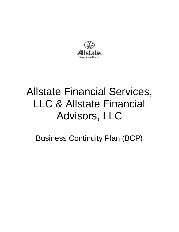

# Allstate Financial Services, LLC & Allstate Financial Advisors, LLC

Business Continuity Plan (BCP)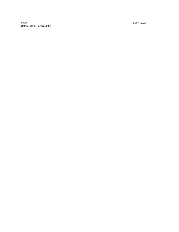BCP3 ABRD Level October 2021, Rev Dec 2021

ABRD Level 3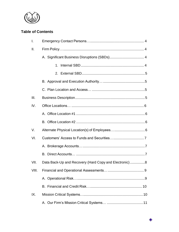

## **Table of Contents**

| Τ.    |                                                       |  |
|-------|-------------------------------------------------------|--|
| Ⅱ.    |                                                       |  |
|       |                                                       |  |
|       |                                                       |  |
|       |                                                       |  |
|       |                                                       |  |
|       |                                                       |  |
| III.  |                                                       |  |
| IV.   |                                                       |  |
|       |                                                       |  |
|       |                                                       |  |
| V.    |                                                       |  |
| VI.   |                                                       |  |
|       |                                                       |  |
|       |                                                       |  |
| VII.  | Data Back-Up and Recovery (Hard Copy and Electronic)8 |  |
| VIII. |                                                       |  |
|       |                                                       |  |
|       |                                                       |  |
| IX.   |                                                       |  |
|       |                                                       |  |

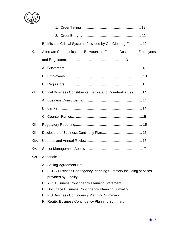

| B. Mission Critical Systems Provided by Our Clearing Firm 12                                                                                                                                                                                                                 |
|------------------------------------------------------------------------------------------------------------------------------------------------------------------------------------------------------------------------------------------------------------------------------|
| Alternate Communications Between the Firm and Customers, Employees,                                                                                                                                                                                                          |
|                                                                                                                                                                                                                                                                              |
|                                                                                                                                                                                                                                                                              |
|                                                                                                                                                                                                                                                                              |
|                                                                                                                                                                                                                                                                              |
| Critical Business Constituents, Banks, and Counter-Parties  14                                                                                                                                                                                                               |
|                                                                                                                                                                                                                                                                              |
|                                                                                                                                                                                                                                                                              |
|                                                                                                                                                                                                                                                                              |
|                                                                                                                                                                                                                                                                              |
|                                                                                                                                                                                                                                                                              |
|                                                                                                                                                                                                                                                                              |
|                                                                                                                                                                                                                                                                              |
| Appendix                                                                                                                                                                                                                                                                     |
| A. Selling Agreement List<br>B. FCCS Business Contingency Planning Summary including services<br>provided by Fidelity<br>C. AFS Business Contingency Planning Statement<br>D. Docupace Business Contingency Planning Summary<br>E. FIS Business Contingency Planning Summary |
|                                                                                                                                                                                                                                                                              |

F. RegEd Business Contingency Planning Summary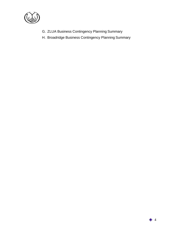

- G. ZLUA Business Contingency Planning Summary
- H. Broadridge Business Contingency Planning Summary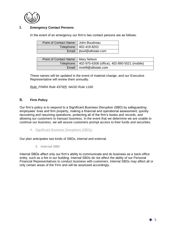

## **I. Emergency Contact Persons**

In the event of an emergency our firm's two contact persons are as follows:

| Point of Contact Name:   John Boudreau |                             |
|----------------------------------------|-----------------------------|
|                                        | Telephone:   402-419-8201   |
|                                        | Email:   jbouf@allstate.com |

| Point of Contact Name:   Mary Nelson |                                                         |
|--------------------------------------|---------------------------------------------------------|
|                                      | Telephone: 402-975-6308 (office), 402-890-5021 (mobile) |
|                                      | Email:   mnel9@allstate.com                             |

These names will be updated in the event of material change, and our Executive Representative will review them annually.

*Rule: FINRA Rule 4370(f); NASD Rule 1160.*

## **II. Firm Policy**

Our firm's policy is to respond to a Significant Business Disruption (SBD) by safeguarding employees' lives and firm property, making a financial and operational assessment, quickly recovering and resuming operations, protecting all of the firm's books and records, and allowing our customers to transact business. In the event that we determine we are unable to continue our business, we will assure customers prompt access to their funds and securities.

A. Significant Business Disruptions (SBDs)

<span id="page-5-0"></span>Our plan anticipates two kinds of SBDs, internal and external.

**1. Internal SBD**

Internal SBDs affect only our firm's ability to communicate and do business as a back-office entity, such as a fire in our building. Internal SBDs do not affect the ability of our Personal Financial Representatives to conduct business with customers. Internal SBDs may affect all or only certain areas of the Firm and will be assessed accordingly.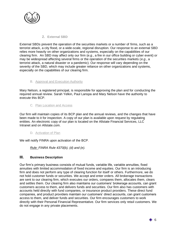

**2. External SBD**

<span id="page-6-0"></span>External SBDs prevent the operation of the securities markets or a number of firms, such as a terrorist attack, a city flood, or a wide-scale, regional disruption. Our response to an external SBD relies more heavily on other organizations and systems, especially on the capabilities of our clearing firm. An SBD may affect only our firm (*e.g.*, a fire in our office building or cyber event) or may be widespread affecting several firms or the operation of the securities markets (*e.g.*, a terrorist attack, a natural disaster or a pandemic). Our response will vary depending on the severity of the SBD, which may include greater reliance on other organizations and systems, especially on the capabilities of our clearing firm.

B. Approval and Execution Authority

Mary Nelson, a registered principal, is responsible for approving the plan and for conducting the required annual review. Sarah Yelkin, Paul Lanspa and Mary Nelson have the authority to execute this BCP.

C. Plan Location and Access

Our firm will maintain copies of its BCP plan and the annual reviews, and the changes that have been made to it for inspection. A copy of our plan is available upon request by regulating entities. An electronic copy of our plan is located on the Allstate Financial Services, LLC Intranet and on Allstate.com.

D. Activation of Plan

We will notify FINRA upon activation of the BCP.

*Rule: FINRA Rule 4370(b), (d) and (e).*

## **III. Business Description**

Our firm's primary business consists of mutual funds, variable life, variable annuities, fixed annuities with limited accommodation of fixed income and equities. Our firm is an introducing firm and does not perform any type of clearing function for itself or others. Furthermore, we do not hold customer funds or securities. We accept and enter orders. All brokerage transactions are sent to our clearing firm, which executes our orders, compares them, allocates them, clears and settles them. Our clearing firm also maintains our customers' brokerage accounts, can grant customers access to them, and delivers funds and securities. Our firm also has customers with accounts held directly with fund companies, or insurance product providers. These direct fund companies, and product providers maintain our customers' direct accounts, can grant customers access to them, and deliver funds and securities. Our firm encourages customers to work directly with their Personal Financial Representative. Our firm services only retail customers. We do not engage in any private placements.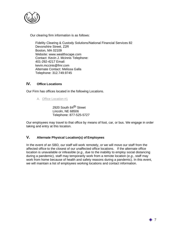

Our clearing firm information is as follows:

Fidelity Clearing & Custody Solutions/National Financial Services 82 Devonshire Street, Z2R Boston, MA 02109 Website: [www.wealthscape.com](http://www.wealthscape.com/) Contact: Kevin J. Mcinnis Telephone: 401-292-4217 Email: [kevin.mccinis@fmr.com](mailto:kevin.mccinis@fmr.com) Alternate Contact: Melissa Galla Telephone: 312.749.9745

### **IV. Office Locations**

Our Firm has offices located in the following Locations.

A. Office Location #1

2920 South 84<sup>th</sup> Street Lincoln, NE 68506 Telephone: 877-525-5727

Our employees may travel to that office by means of foot, car, or bus. We engage in order taking and entry at this location.

## **V. Alternate Physical Location(s) of Employees**

In the event of an SBD, our staff will work remotely, or we will move our staff from the affected office to the closest of our unaffected office locations. If the alternate office location is unavailable or infeasible (*e.g.*, due to the inability to employ social distancing during a pandemic), staff may temporarily work from a remote location (*e.g.*, staff may work from home because of health and safety reasons during a pandemic). In this event, we will maintain a list of employees working locations and contact information.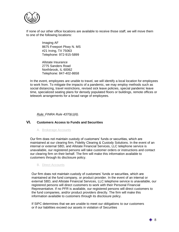

If none of our other office locations are available to receive those staff, we will move them to one of the following locations:

> Imaging AF 8675 Freeport Pkwy N. MS #21 Irving, TX 75063 Telephone: 972-915-5899

Allstate Insurance 2775 Sanders Road Northbrook, IL 60062 Telephone: 847-402-8658

In the event, employees are unable to travel, we will identify a local location for employees to work from. To mitigate the impacts of a pandemic, we may employ methods such as social distancing, travel restrictions, revised sick leave policies, special pandemic leave time, specialized seating plans for densely populated floors or buildings, remote offices or telework arrangements for a broad range of employees.

*Rule: FINRA Rule 4370(c)(6).*

## **VI. Customers Access to Funds and Securities**

A. Brokerage Accounts

Our firm does not maintain custody of customers' funds or securities, which are maintained at our clearing firm, Fidelity Clearing & Custody Solutions. In the event of an internal or external SBD, and Allstate Financial Services, LLC telephone service is unavailable, our registered persons will take customer orders or instructions and contact our clearing firm on their behalf. The firm will make this information available to customers through its disclosure policy.

#### B. Direct Accounts

Our firm does not maintain custody of customers' funds or securities, which are maintained at the fund company, or product provider. In the event of an internal or external SBD, and Allstate Financial Services, LLC telephone service is unavailable, our registered persons will direct customers to work with their Personal Financial Representative. If no PFR is available, our registered persons will direct customers to the fund companies, and/or product providers directly. The firm will make this information available to customers through its disclosure policy.

If SIPC determines that we are unable to meet our obligations to our customers or if our liabilities exceed our assets in violation of Securities

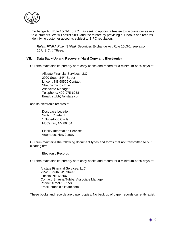

Exchange Act Rule 15c3-1, SIPC may seek to appoint a trustee to disburse our assets to customers. We will assist SIPC and the trustee by providing our books and records identifying customer accounts subject to SIPC regulation.

*Rules: FINRA Rule 4370(a);* Securities Exchange Act Rule 15c3-1; *see also* 15 U.S.C. § 78eee.

### **VII. Data Back-Up and Recovery (Hard Copy and Electronic)**

Our firm maintains its primary hard copy books and record for a minimum of 60 days at:

Allstate Financial Services, LLC 2920 South 84<sup>th</sup> Street Lincoln, NE 68506 Contact: Shauna Tubbs Title: Associate Manager Telephone: 402-975-6258 Email: [stubb@allstate.com](mailto:stubb@allstate.com)

and its electronic records at:

Docupace Location: Switch Citadel 1 1 Superloop Circle McCarran, NV 89434

Fidelity Information Services Voorhees, New Jersey

Our firm maintains the following document types and forms that not transmitted to our clearing firm:

Electronic Records

Our firm maintains its primary hard copy books and record for a minimum of 60 days at:

Allstate Financial Services, LLC 29520 South 84th Street Lincoln, NE 68506 Contact: Shauna Tubbs, Associate Manager Phone: 402-975-6258 Email: stubb@allstate.com

These books and records are paper copies. No back up of paper records currently exist.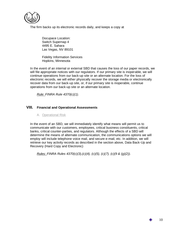

The firm backs up its electronic records daily, and keeps a copy at

Docupace Location: Switch Supernap 4 4495 E. Sahara Las Vegas, NV 89101

Fidelity Information Services Hopkins, Minnesota

In the event of an internal or external SBD that causes the loss of our paper records, we will file appropriate notices with our regulators. If our primary site is inoperable, we will continue operations from our back-up site or an alternate location. For the loss of electronic records, we will either physically recover the storage media or electronically recover data from our back-up site, or, if our primary site is inoperable, continue operations from our back-up site or an alternate location.

*Rule: FINRA Rule 4370(c)(1).*

#### **VIII. Financial and Operational Assessments**

A. Operational Risk

In the event of an SBD, we will immediately identify what means will permit us to communicate with our customers, employees, critical business constituents, critical banks, critical counter-parties, and regulators. Although the effects of a SBD will determine the means of alternate communication, the communications options we will employ will include telephone voice mail, and secure e-mail, etc. In addition, we will retrieve our key activity records as described in the section above, Data Back-Up and Recovery (Hard Copy and Electronic)

*Rules: FINRA Rules 4370(c)(3),(c)(4), (c)(5), (c)(7), (c)(9 & (g)(2)).*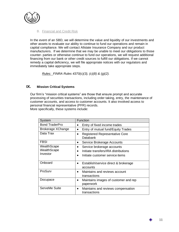

#### B. Financial and Credit Risk

In the event of an SBD, we will determine the value and liquidity of our investments and other assets to evaluate our ability to continue to fund our operations and remain in capital compliance. We will contact Allstate Insurance Company and our product manufacturers. If we determine that we may be unable to meet our obligations to those counter- parties or otherwise continue to fund our operations, we will request additional financing from our bank or other credit sources to fulfill our obligations. If we cannot remedy a capital deficiency, we will file appropriate notices with our regulators and immediately take appropriate steps.

*Rules: FINRA Rules 4370(c)(3), (c)(8) & (g)(2).*

## **IX. Mission Critical Systems**

Our firm's "mission critical systems" are those that ensure prompt and accurate processing of securities transactions, including order taking, entry, the maintenance of customer accounts, and access to customer accounts. It also involved access to personal financial representative (PFR) records. More specifically, these systems include:

| System                   | Function                                                        |  |
|--------------------------|-----------------------------------------------------------------|--|
| <b>Bond TraderPro</b>    | Entry of fixed income trades                                    |  |
| <b>Brokerage XChange</b> | Entry of mutual fund/Equity Trades                              |  |
| Data Trax                | <b>Registered Representative Core</b><br>Databank               |  |
| <b>FBSI</b>              | Service Brokerage Accounts                                      |  |
| WealthScape              | Service brokerage accounts                                      |  |
| WealthScape              | Initiate transfers/IRA distributions                            |  |
| Investor                 | Initiate customer service items                                 |  |
| Onboard                  | Establish/service direct & brokerage<br>accounts                |  |
| ProSurv                  | Maintains and reviews account<br>$\bullet$<br>transactions      |  |
| Docupace                 | Maintains images of customer and rep<br>٠<br>paperwork          |  |
| ServeMe Suite            | Maintains and reviews compensation<br>$\bullet$<br>transactions |  |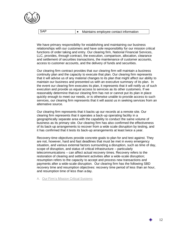

We have primary responsibility for establishing and maintaining our business relationships with our customers and have sole responsibility for our mission critical functions of order taking and entry. Our clearing firm, National Financial Services, LLC, provides, through contract, the execution, comparison, allocation, clearance and settlement of securities transactions, the maintenance of customer accounts, access to customer accounts, and the delivery of funds and securities.

Our clearing firm contract provides that our clearing firm will maintain a business continuity plan and the capacity to execute that plan. Our clearing firm represents that it will advise us of any material changes to its plan that might affect our ability to maintain our business and presented us with an executive summary of its plan. In the event our clearing firm executes its plan, it represents that it will notify us of such execution and provide us equal access to services as its other customers. If we reasonably determine that our clearing firm has not or cannot put its plan in place quickly enough to meet our needs, or is otherwise unable to provide access to such services, our clearing firm represents that it will assist us in seeking services from an alternative source.

Our clearing firm represents that it backs up our records at a remote site. Our clearing firm represents that it operates a back-up operating facility in a geographically separate area with the capability to conduct the same volume of business as its primary site. Our clearing firm has also confirmed the effectiveness of its back-up arrangements to recover from a wide scale disruption by testing, and it has confirmed that it tests its back-up arrangements at least twice a year.

Recovery-time objectives provide concrete goals to plan for and test against. They are not, however, hard and fast deadlines that must be met in every emergency situation, and various external factors surrounding a disruption, such as time of day, scope of disruption, and status of critical infrastructure – particularly telecommunications – can affect actual recovery times. Recovery refers to the restoration of clearing and settlement activities after a wide-scale disruption; resumption refers to the capacity to accept and process new transactions and payments after a wide-scale disruption. Our clearing firm has the following SBD recovery time and resumption objectives: recovery time period of less than an hour, and resumption time of less than a day.

A. Our Firm's Mission Critical Systems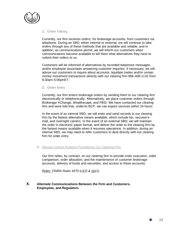<span id="page-13-0"></span>

#### **1. Order Taking**

Currently, our firm receives orders, for brokerage accounts, from customers via telephone. During an SBD, either internal or external, we will continue to take orders through any of these methods that are available and reliable, and in addition, as communications permit, we will inform our customers when communications become available to tell them what alternatives they have to submit their orders to us.

Customers will be informed of alternatives by recorded telephone messages, and/or employee associates answering customer inquiries. If necessary, we will advise our customers to inquire about accounts, liquidate trades and/or certain money movement transactions directly with our clearing firm 866-408-1132 from 8:30am-5:00pmET.

<span id="page-13-1"></span>**2. Order Entry**

Currently, our firm enters brokerage orders by sending them to our clearing firm electronically or telephonically. Alternatively, we place customer orders through Brokerage XChange, Wealthscape, and FBSI. We have contacted our clearing firm and were told that, underits BCP, we can expect services within 24 hours.

In the event of an internal SBD, we will enter and send records to our clearing firm by the fastest alternative means available, which include fax, secured email, and overnight carriers. In the event of an external SBD, we will maintain the order in electronic paper format, and deliver the order to the clearing firm by the fastest means available when it resumes operations. In addition, during an internal SBD, we may need to refer customers to deal directly with our clearing firm for order entry.

B. Mission Critical Systems Provided by Our Clearing Firm

Our firm relies, by contract, on our clearing firm to provide order execution, order comparison, order allocation, and the maintenance of customer brokerage accounts, delivery of funds and securities, and access to these accounts.

*Rules: FINRA Rules 4370 (c)(2) & (g)(1).*

### **X. Alternate Communications Between the Firm and Customers, Employees, and Regulators**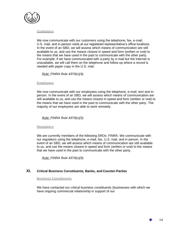

#### **Customers**

We now communicate with our customers using the telephone, fax, e-mail, U.S. mail, and in-person visits at our registered representative's office locations. In the event of an SBD, we will assess which means of communication are still available to us, and use the means closest in speed and form (written or oral) to the means that we have used in the past to communicate with the other party. For example, if we have communicated with a party by e-mail but the Internet is unavailable, we will call them on the telephone and follow up where a record is needed with paper copy in the U.S. mail.

*Rule: FINRA Rule 4370(c)(4).*

#### **Employees**

We now communicate with our employees using the telephone, e-mail, text and inperson. In the event of an SBD, we will assess which means of communication are still available to us, and use the means closest in speed and form (written or oral) to the means that we have used in the past to communicate with the other party. The majority of our employees are able to work remotely.

*Rule: FINRA Rule 4370(c)(5).*

#### **Regulators**

We are currently members of the following SROs: FINRA. We communicate with our regulators using the telephone, e-mail, fax, U.S. mail, and in person. In the event of an SBD, we will assess which means of communication are still available to us, and use the means closest in speed and form (written or oral) to the means that we have used in the past to communicate with the other party.

*Rule: FINRA Rule 4370(c)(9).*

### **XI. Critical Business Constituents, Banks, and Counter-Parties**

**Business Constituents**

We have contacted our critical business constituents (businesses with which we have ongoing commercial relationship in support of our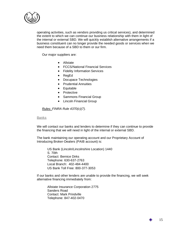

operating activities, such as vendors providing us critical services), and determined the extent to which we can continue our business relationship with them in light of the internal or external SBD. We will quickly establish alternative arrangements if a business constituent can no longer provide the needed goods or services when we need them because of a SBD to them or our firm.

Our major suppliers are:

- Allstate
- FCCS/National Financial Services
- Fidelity Information Services
- RegEd
- Docupace Technologies
- Prudential Annuities
- Equitable
- Protective
- Sammons Financial Group
- Lincoln Financial Group

*Rules: FINRA Rule 4370(c)(7).*

#### **Banks**

We will contact our banks and lenders to determine if they can continue to provide the financing that we will need in light of the internal or external SBD.

The bank maintaining our operating account and our Proprietary Account of Introducing Broker-Dealers (PAIB account) is:

US Bank (Lincoln/Lincolnshire Location) 1440 S. 70th Contact: Bernice Dirks Telephone: 630-637-2763 Local Branch: 402-484-4400 US Bank Toll Free: 800-377-3053

If our banks and other lenders are unable to provide the financing, we will seek alternative financing immediately from:

Allstate Insurance Corporation 2775 Sanders Road Contact: Mark Prindville Telephone: 847-402-0470

15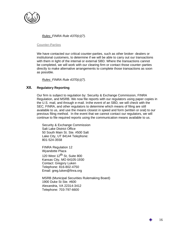

#### *Rules: FINRA Rule 4370(c)(7).*

#### **Counter-Parties**

We have contacted our critical counter-parties, such as other broker- dealers or institutional customers, to determine if we will be able to carry out our transactions with them in light of the internal or external SBD. Where the transactions cannot be completed, we will work with our clearing firm or contact those counter-parties directly to make alternative arrangements to complete those transactions as soon as possible.

*Rules: FINRA Rule 4370(c)(7).*

## **XII. Regulatory Reporting**

Our firm is subject to regulation by: Security & Exchange Commission, FINRA Regulation, and MSRB. We now file reports with our regulators using paper copies in the U.S. mail, and through e-mail. Inthe event of an SBD, we will check with the SEC, FINRA, and other regulators to determine which means of filing are still available to us, and use the means closest in speed and form (written or oral) to our previous filing method. In the event that we cannot contact our regulators, we will continue to file required reports using the communication means available to us.

Security & Exchange Commission Salt Lake District Office 50 South Main St. Ste. #500 Salt Lake City, UT 84144 Telephone: 801-524-3558

FINRA Regulation 12 Wyandotte Plaza 120 West 12<sup>th</sup> St, Suite 800 Kansas City, MO 64105-1930 Contact: Gregory Luken Telephone: 816-802-4750 Email: [greg.luken@finra.org](mailto:greg.luken@finra.org)

MSRB (Municipal Securities Rulemaking Board) 1900 Duke St Ste. #600 Alexandria, VA 22314-3412 Telephone: 703-797-6600

16